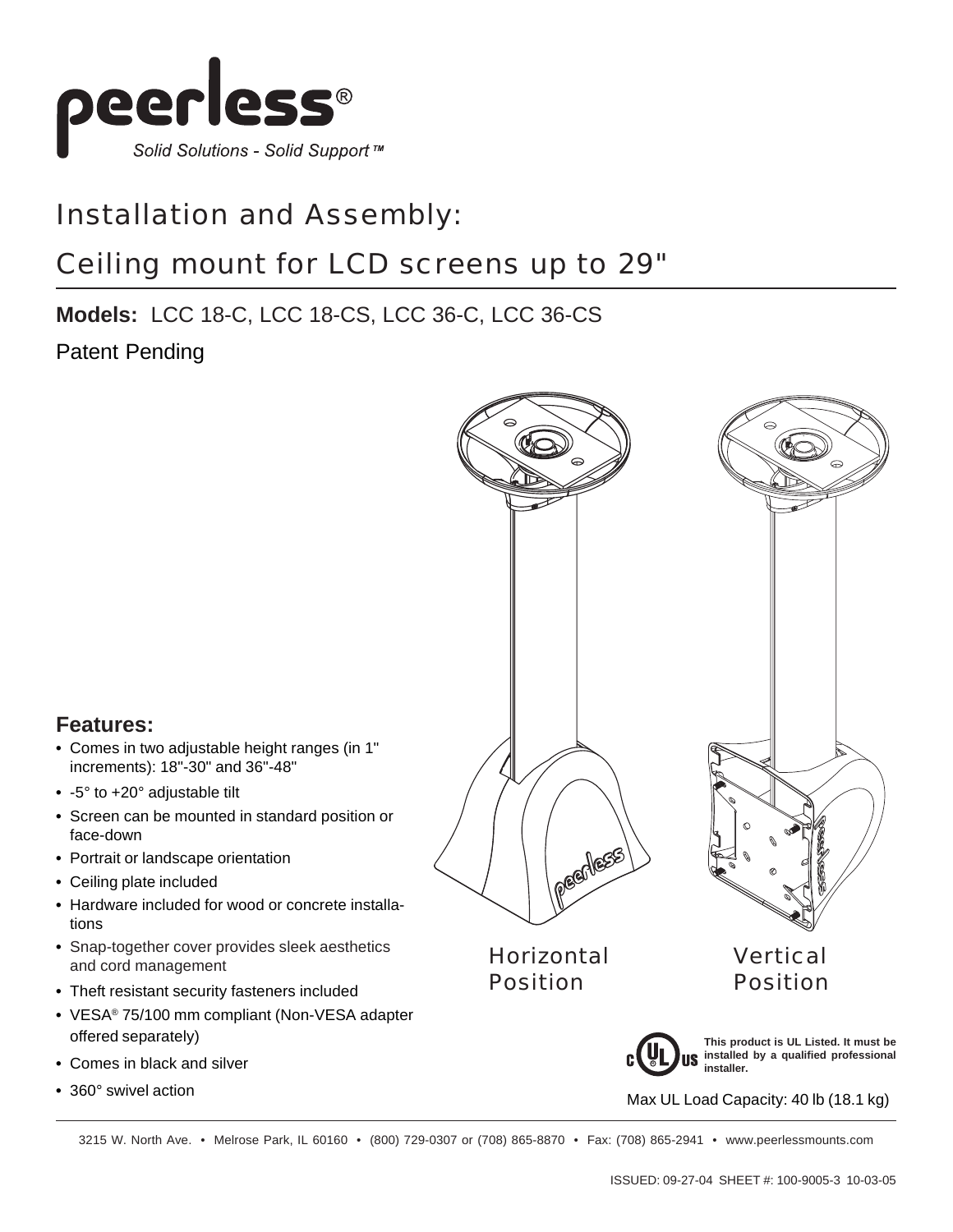

#### Installation and Assembly:

#### Ceiling mount for LCD screens up to 29"

#### **Models:** LCC 18-C, LCC 18-CS, LCC 36-C, LCC 36-CS

Patent Pending



#### **Features:**

- **•** Comes in two adjustable height ranges (in 1" increments): 18"-30" and 36"-48"
- **•** -5° to +20° adjustable tilt
- **•** Screen can be mounted in standard position or face-down
- **•** Portrait or landscape orientation
- **•** Ceiling plate included
- **•** Hardware included for wood or concrete installations
- **•** Snap-together cover provides sleek aesthetics and cord management
- **•** Theft resistant security fasteners included
- **•** VESA® 75/100 mm compliant (Non-VESA adapter offered separately)
- **•** Comes in black and silver
- **•** 360° swivel action

3215 W. North Ave. • Melrose Park, IL 60160 • (800) 729-0307 or (708) 865-8870 • Fax: (708) 865-2941 • www.peerlessmounts.com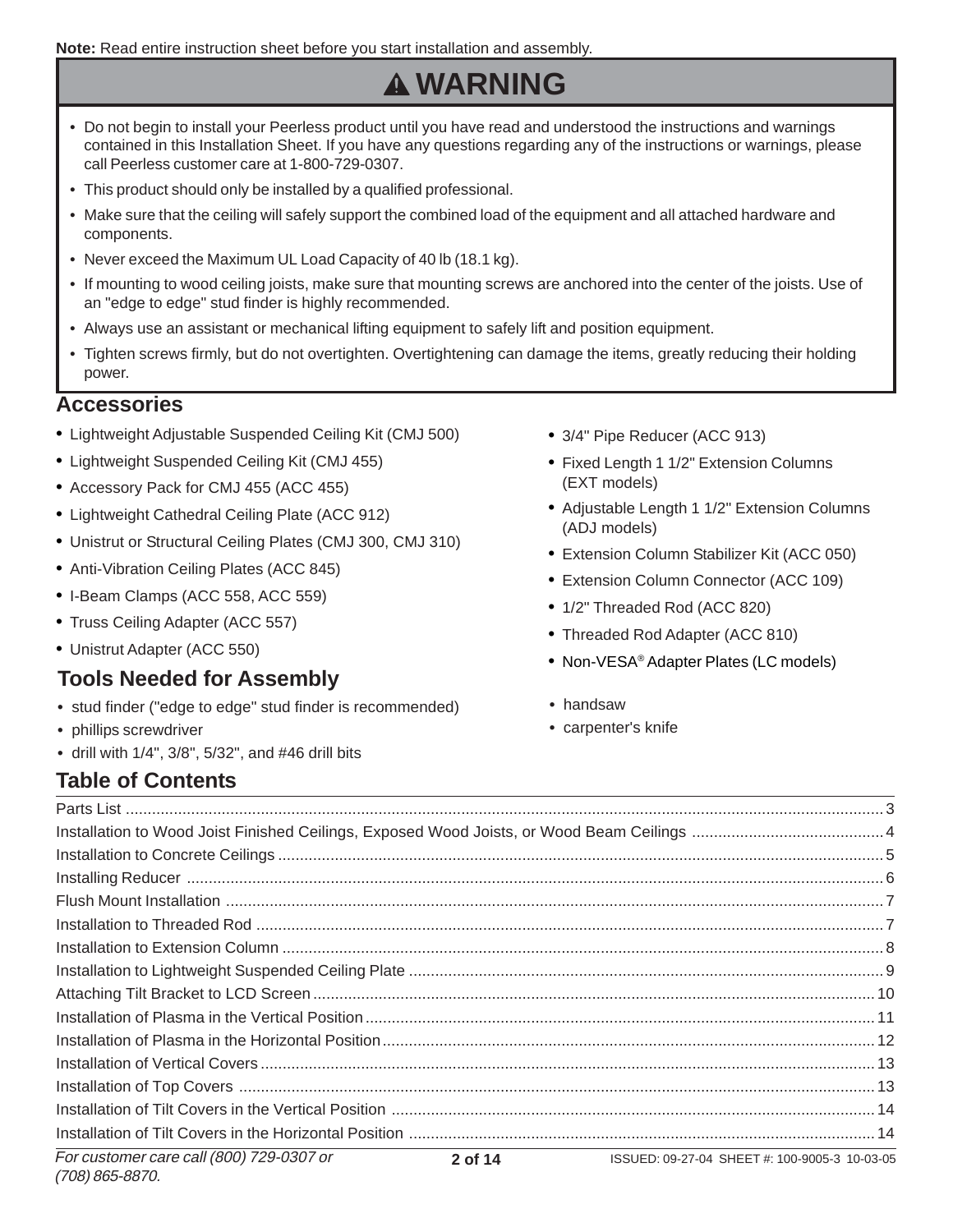**Note:** Read entire instruction sheet before you start installation and assembly.

# **WARNING**

- Do not begin to install your Peerless product until you have read and understood the instructions and warnings contained in this Installation Sheet. If you have any questions regarding any of the instructions or warnings, please call Peerless customer care at 1-800-729-0307.
- This product should only be installed by a qualified professional.
- Make sure that the ceiling will safely support the combined load of the equipment and all attached hardware and components.
- Never exceed the Maximum UL Load Capacity of 40 lb (18.1 kg).
- If mounting to wood ceiling joists, make sure that mounting screws are anchored into the center of the joists. Use of an "edge to edge" stud finder is highly recommended.
- Always use an assistant or mechanical lifting equipment to safely lift and position equipment.
- Tighten screws firmly, but do not overtighten. Overtightening can damage the items, greatly reducing their holding power.

#### **Accessories**

- **•** Lightweight Adjustable Suspended Ceiling Kit (CMJ 500)
- **•** Lightweight Suspended Ceiling Kit (CMJ 455)
- **•** Accessory Pack for CMJ 455 (ACC 455)
- **•** Lightweight Cathedral Ceiling Plate (ACC 912)
- **•** Unistrut or Structural Ceiling Plates (CMJ 300, CMJ 310)
- **•** Anti-Vibration Ceiling Plates (ACC 845)
- **•** I-Beam Clamps (ACC 558, ACC 559)
- **•** Truss Ceiling Adapter (ACC 557)
- **•** Unistrut Adapter (ACC 550)

#### **Tools Needed for Assembly**

- **•** stud finder ("edge to edge" stud finder is recommended)
- **•** phillips screwdriver
- **•** drill with 1/4", 3/8", 5/32", and #46 drill bits
- **Table of Contents**
- **•** 3/4" Pipe Reducer (ACC 913)
- **•** Fixed Length 1 1/2" Extension Columns (EXT models)
- **•** Adjustable Length 1 1/2" Extension Columns (ADJ models)
- **•** Extension Column Stabilizer Kit (ACC 050)
- **•** Extension Column Connector (ACC 109)
- **•** 1/2" Threaded Rod (ACC 820)
- **•** Threaded Rod Adapter (ACC 810)
- **•** Non-VESA® Adapter Plates (LC models)
- **•** handsaw
- **•** carpenter's knife

|  | For customer care call (800) 729-0307 or 2 cases and 3 cases and security is a series of 2 to 2006 2 10.03.05 |
|--|---------------------------------------------------------------------------------------------------------------|

Parts List .............................................................................................................................................................................. 3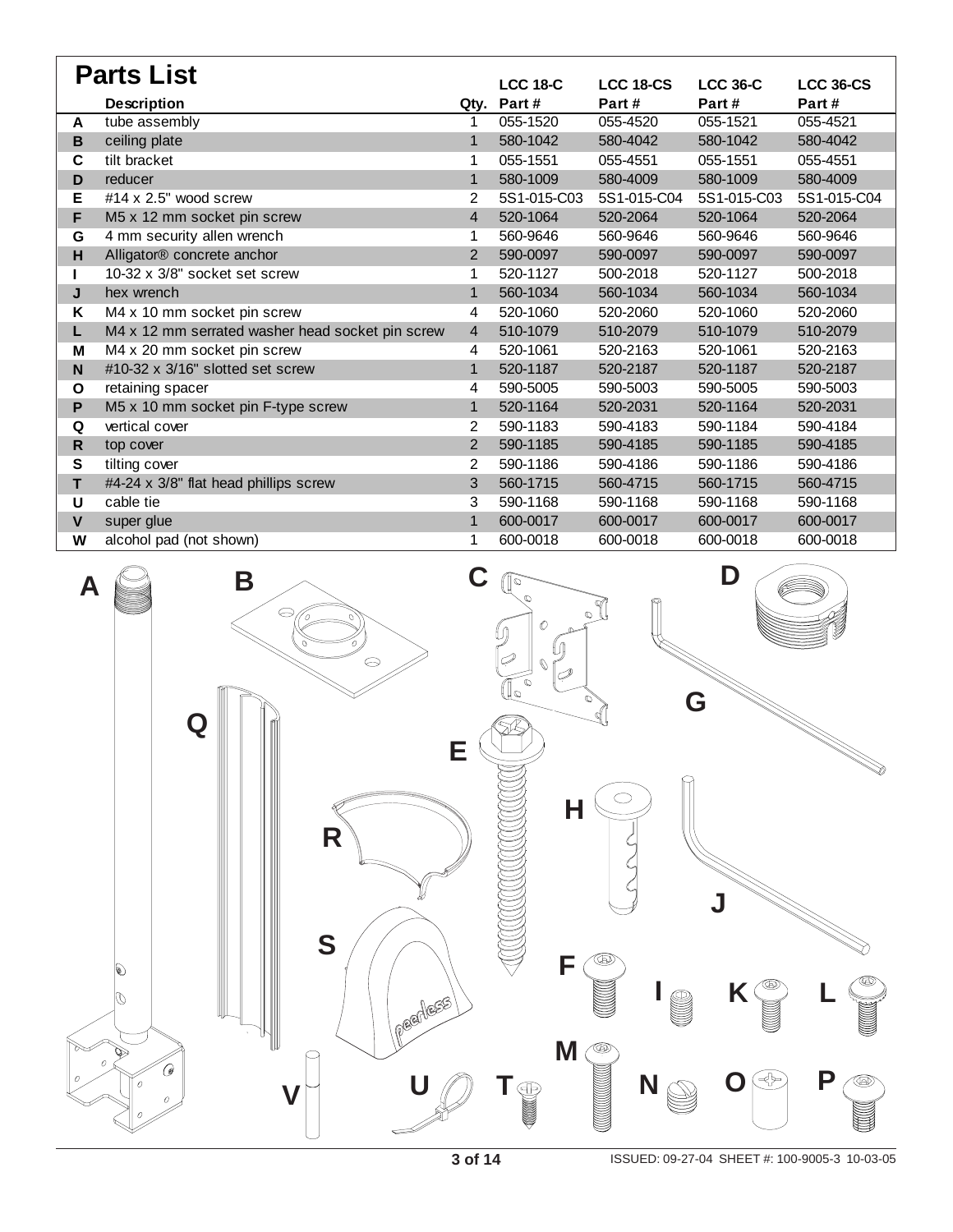| <b>Parts List</b> |                                                  |                |                 |                  |                 |                  |  |
|-------------------|--------------------------------------------------|----------------|-----------------|------------------|-----------------|------------------|--|
|                   |                                                  |                | <b>LCC 18-C</b> | <b>LCC 18-CS</b> | <b>LCC 36-C</b> | <b>LCC 36-CS</b> |  |
|                   | <b>Description</b>                               | Qtv.           | Part#           | Part#            | Part#           | Part#            |  |
| A                 | tube assembly                                    | 1              | 055-1520        | 055-4520         | 055-1521        | 055-4521         |  |
| B                 | ceiling plate                                    | $\mathbf{1}$   | 580-1042        | 580-4042         | 580-1042        | 580-4042         |  |
| C                 | tilt bracket                                     | 1              | 055-1551        | 055-4551         | 055-1551        | 055-4551         |  |
| D                 | reducer                                          | $\mathbf{1}$   | 580-1009        | 580-4009         | 580-1009        | 580-4009         |  |
| Е                 | #14 $\times$ 2.5" wood screw                     | 2              | 5S1-015-C03     | 5S1-015-C04      | 5S1-015-C03     | 5S1-015-C04      |  |
| F                 | M5 x 12 mm socket pin screw                      | 4              | 520-1064        | 520-2064         | 520-1064        | 520-2064         |  |
| G                 | 4 mm security allen wrench                       |                | 560-9646        | 560-9646         | 560-9646        | 560-9646         |  |
| H                 | Alligator® concrete anchor                       | $\overline{2}$ | 590-0097        | 590-0097         | 590-0097        | 590-0097         |  |
|                   | 10-32 x 3/8" socket set screw                    | 1              | 520-1127        | 500-2018         | 520-1127        | 500-2018         |  |
| J                 | hex wrench                                       | $\mathbf{1}$   | 560-1034        | 560-1034         | 560-1034        | 560-1034         |  |
| Κ                 | M4 x 10 mm socket pin screw                      | 4              | 520-1060        | 520-2060         | 520-1060        | 520-2060         |  |
| L                 | M4 x 12 mm serrated washer head socket pin screw | $\overline{4}$ | 510-1079        | 510-2079         | 510-1079        | 510-2079         |  |
| M                 | $\overline{M4}$ x 20 mm socket pin screw         | 4              | 520-1061        | 520-2163         | 520-1061        | 520-2163         |  |
| N                 | #10-32 x 3/16" slotted set screw                 | $\mathbf{1}$   | 520-1187        | 520-2187         | 520-1187        | 520-2187         |  |
| O                 | retaining spacer                                 | 4              | 590-5005        | 590-5003         | 590-5005        | 590-5003         |  |
| P                 | M5 x 10 mm socket pin F-type screw               | 1              | 520-1164        | 520-2031         | 520-1164        | 520-2031         |  |
| Q                 | vertical cover                                   | $\overline{2}$ | 590-1183        | 590-4183         | 590-1184        | 590-4184         |  |
| R.                | top cover                                        | $\overline{2}$ | 590-1185        | 590-4185         | 590-1185        | 590-4185         |  |
| S                 | tilting cover                                    | 2              | 590-1186        | 590-4186         | 590-1186        | 590-4186         |  |
| T                 | #4-24 x 3/8" flat head phillips screw            | 3              | 560-1715        | 560-4715         | 560-1715        | 560-4715         |  |
| U                 | cable tie                                        | 3              | 590-1168        | 590-1168         | 590-1168        | 590-1168         |  |
| $\mathbf{V}$      | super glue                                       | $\mathbf{1}$   | 600-0017        | 600-0017         | 600-0017        | 600-0017         |  |
| W                 | alcohol pad (not shown)                          | 1              | 600-0018        | 600-0018         | 600-0018        | 600-0018         |  |

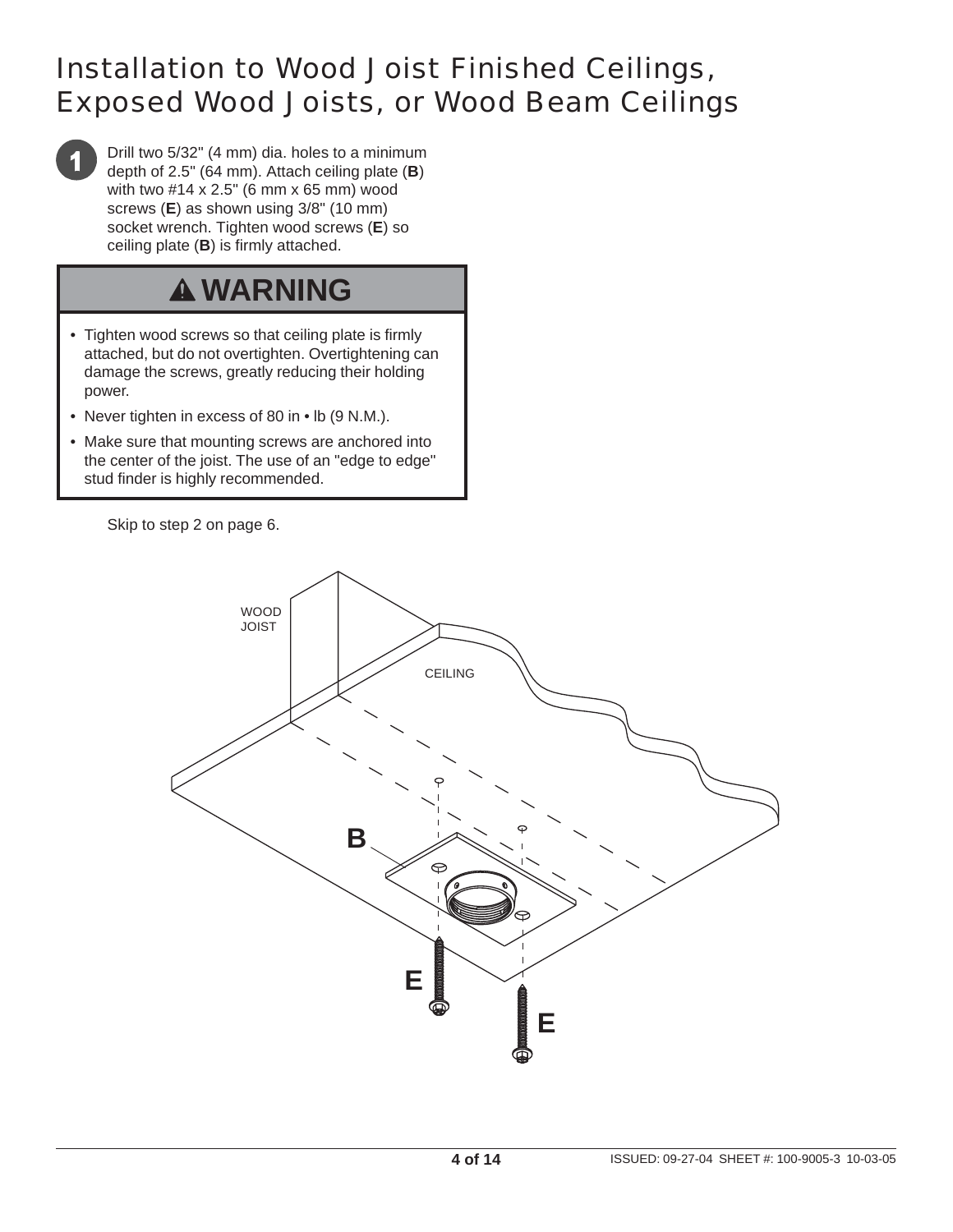#### Installation to Wood Joist Finished Ceilings, Exposed Wood Joists, or Wood Beam Ceilings

Drill two 5/32" (4 mm) dia. holes to a minimum depth of 2.5" (64 mm). Attach ceiling plate (**B**) with two #14 x 2.5" (6 mm x 65 mm) wood screws (**E**) as shown using 3/8" (10 mm) socket wrench. Tighten wood screws (**E**) so ceiling plate (**B**) is firmly attached.

# **WARNING**

- Tighten wood screws so that ceiling plate is firmly attached, but do not overtighten. Overtightening can damage the screws, greatly reducing their holding power.
- Never tighten in excess of 80 in lb (9 N.M.).
- Make sure that mounting screws are anchored into the center of the joist. The use of an "edge to edge" stud finder is highly recommended.

Skip to step 2 on page 6.

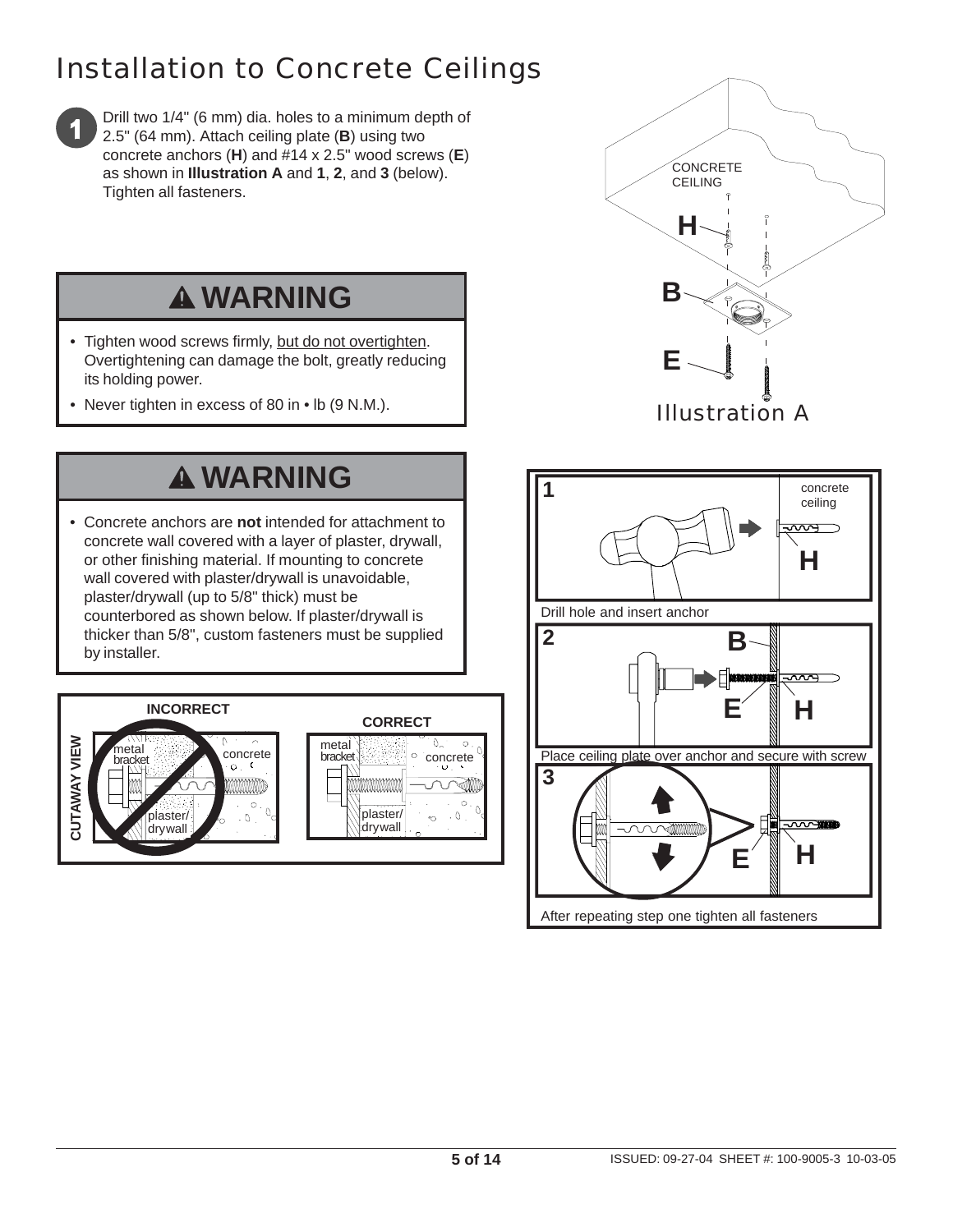# Installation to Concrete Ceilings



Drill two 1/4" (6 mm) dia. holes to a minimum depth of 2.5" (64 mm). Attach ceiling plate (**B**) using two concrete anchors (**H**) and #14 x 2.5" wood screws (**E**) as shown in **Illustration A** and **1**, **2**, and **3** (below). Tighten all fasteners.

# **WARNING**

- Tighten wood screws firmly, but do not overtighten. Overtightening can damage the bolt, greatly reducing its holding power.
- Never tighten in excess of 80 in lb (9 N.M.).

# **WARNING**

• Concrete anchors are **not** intended for attachment to concrete wall covered with a layer of plaster, drywall, or other finishing material. If mounting to concrete wall covered with plaster/drywall is unavoidable, plaster/drywall (up to 5/8" thick) must be counterbored as shown below. If plaster/drywall is thicker than 5/8", custom fasteners must be supplied by installer.





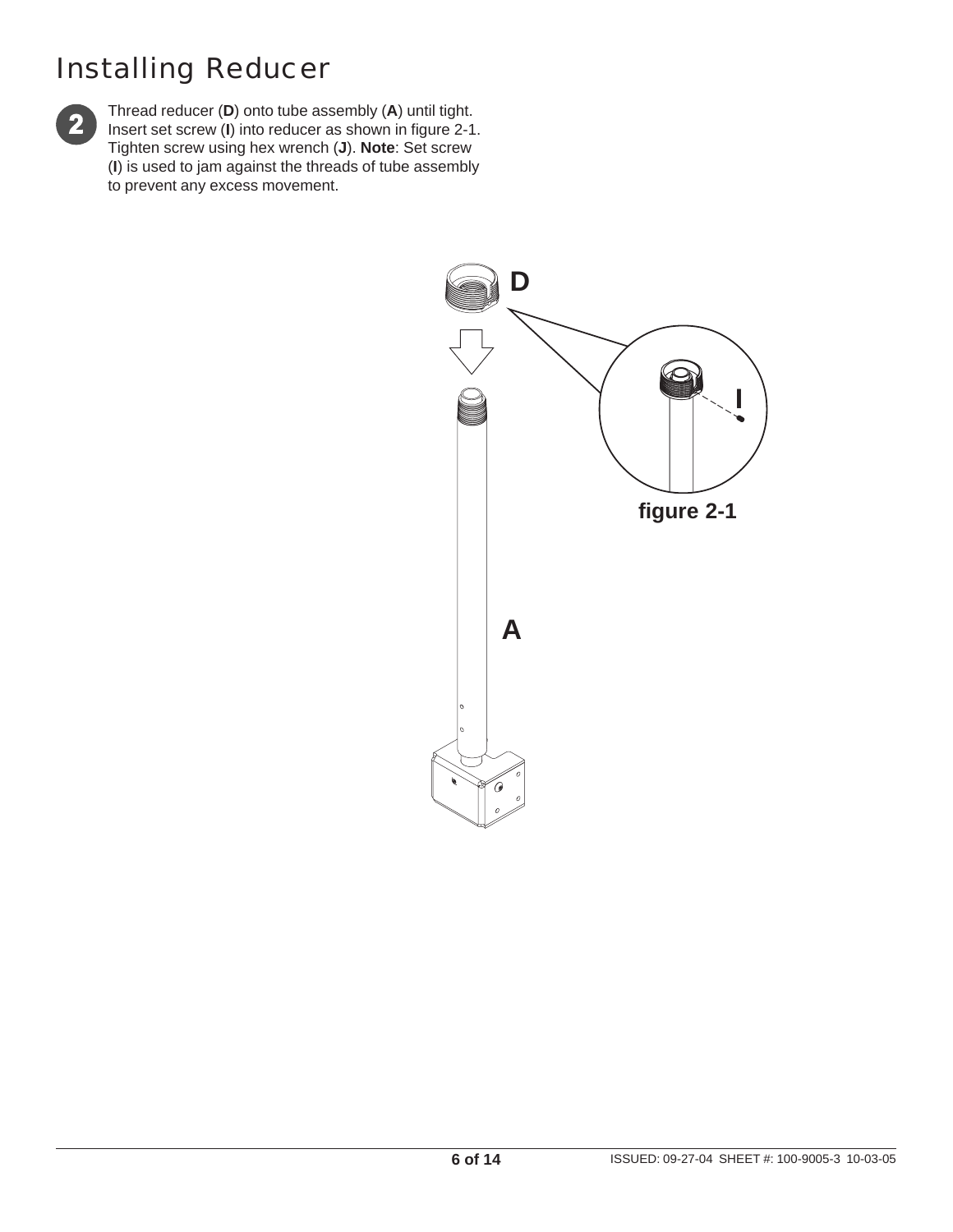### Installing Reducer



Thread reducer (**D**) onto tube assembly (**A**) until tight. Insert set screw (**I**) into reducer as shown in figure 2-1. Tighten screw using hex wrench (**J**). **Note**: Set screw (**I**) is used to jam against the threads of tube assembly to prevent any excess movement.

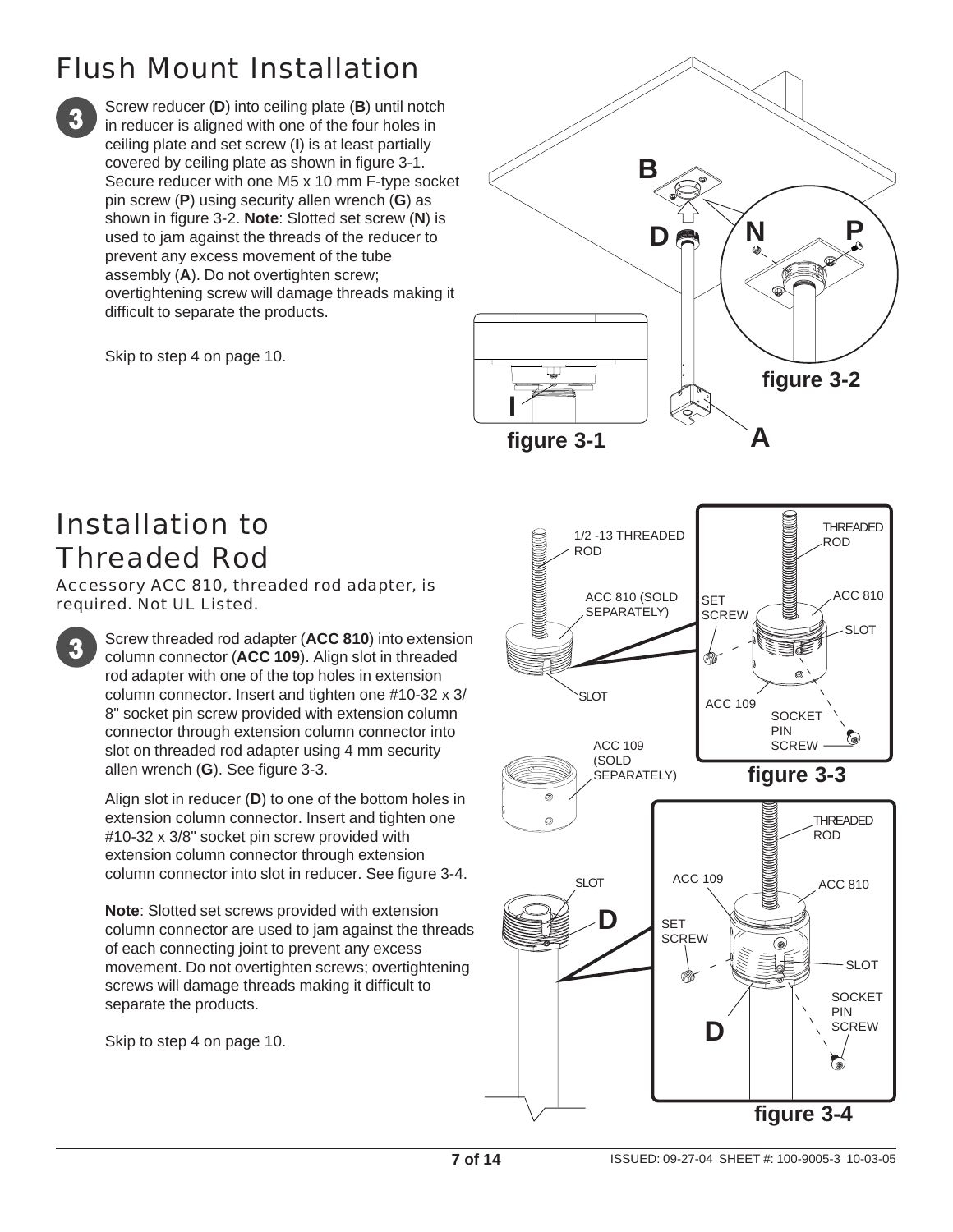# Flush Mount Installation

Screw reducer (**D**) into ceiling plate (**B**) until notch in reducer is aligned with one of the four holes in ceiling plate and set screw (**I**) is at least partially covered by ceiling plate as shown in figure 3-1. Secure reducer with one M5 x 10 mm F-type socket pin screw (**P**) using security allen wrench (**G**) as shown in figure 3-2. **Note**: Slotted set screw (**N**) is used to jam against the threads of the reducer to prevent any excess movement of the tube assembly (**A**). Do not overtighten screw; overtightening screw will damage threads making it difficult to separate the products.

Skip to step 4 on page 10.



#### Installation to Threaded Rod

Accessory ACC 810, threaded rod adapter, is required. Not UL Listed.

> Screw threaded rod adapter (**ACC 810**) into extension column connector (**ACC 109**). Align slot in threaded rod adapter with one of the top holes in extension column connector. Insert and tighten one #10-32 x 3/ 8" socket pin screw provided with extension column connector through extension column connector into slot on threaded rod adapter using 4 mm security allen wrench (**G**). See figure 3-3.

Align slot in reducer (**D**) to one of the bottom holes in extension column connector. Insert and tighten one #10-32 x 3/8" socket pin screw provided with extension column connector through extension column connector into slot in reducer. See figure 3-4.

**Note**: Slotted set screws provided with extension column connector are used to jam against the threads of each connecting joint to prevent any excess movement. Do not overtighten screws; overtightening screws will damage threads making it difficult to separate the products.

Skip to step 4 on page 10.

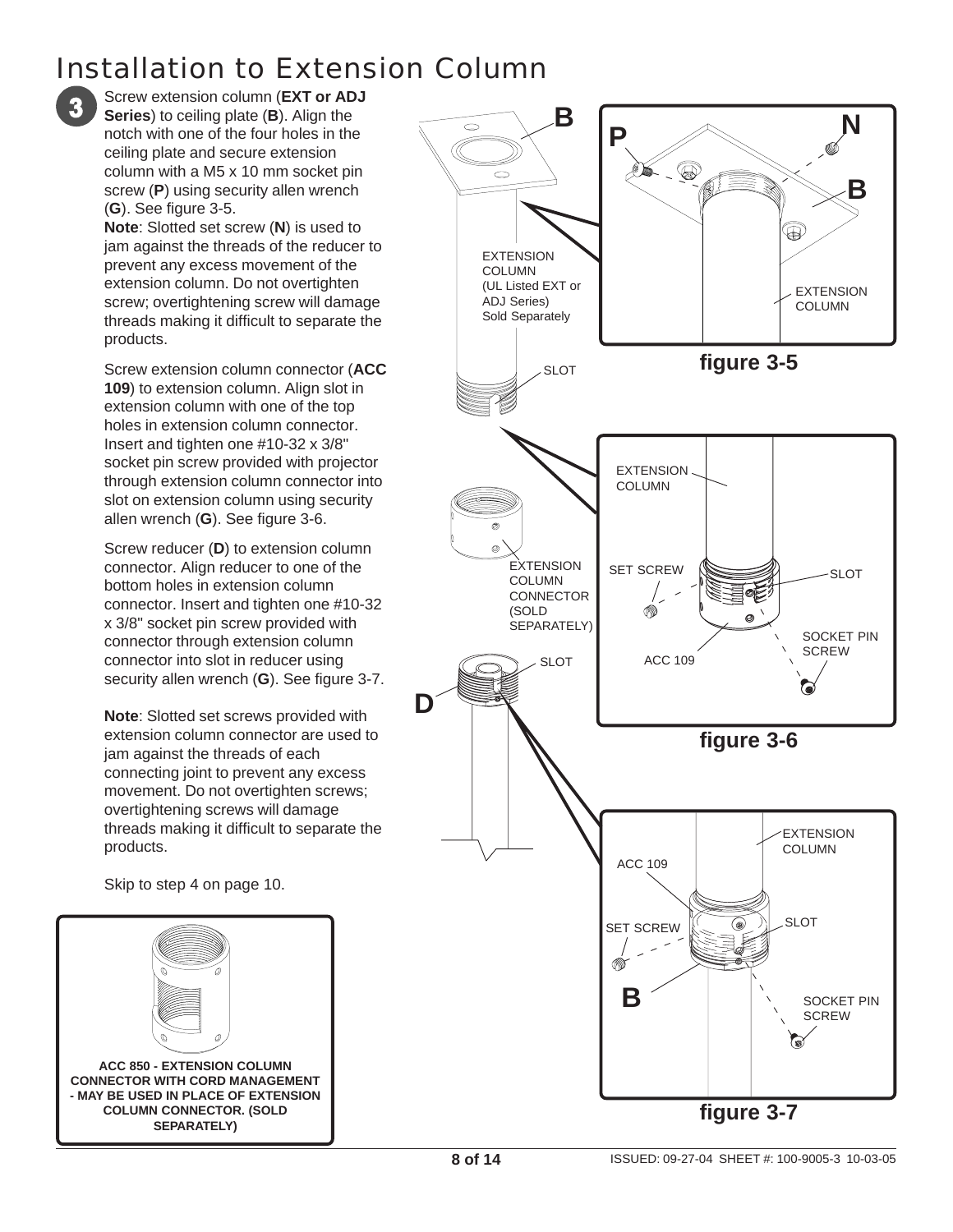# Installation to Extension Column



Screw extension column (**EXT or ADJ Series**) to ceiling plate (**B**). Align the notch with one of the four holes in the ceiling plate and secure extension column with a M5 x 10 mm socket pin screw (**P**) using security allen wrench (**G**). See figure 3-5.

**Note**: Slotted set screw (**N**) is used to jam against the threads of the reducer to prevent any excess movement of the extension column. Do not overtighten screw; overtightening screw will damage threads making it difficult to separate the products.

Screw extension column connector (**ACC 109**) to extension column. Align slot in extension column with one of the top holes in extension column connector. Insert and tighten one #10-32 x 3/8" socket pin screw provided with projector through extension column connector into slot on extension column using security allen wrench (**G**). See figure 3-6.

Screw reducer (**D**) to extension column connector. Align reducer to one of the bottom holes in extension column connector. Insert and tighten one #10-32 x 3/8" socket pin screw provided with connector through extension column connector into slot in reducer using security allen wrench (**G**). See figure 3-7.

**Note**: Slotted set screws provided with extension column connector are used to jam against the threads of each connecting joint to prevent any excess movement. Do not overtighten screws; overtightening screws will damage threads making it difficult to separate the products.

Skip to step 4 on page 10.



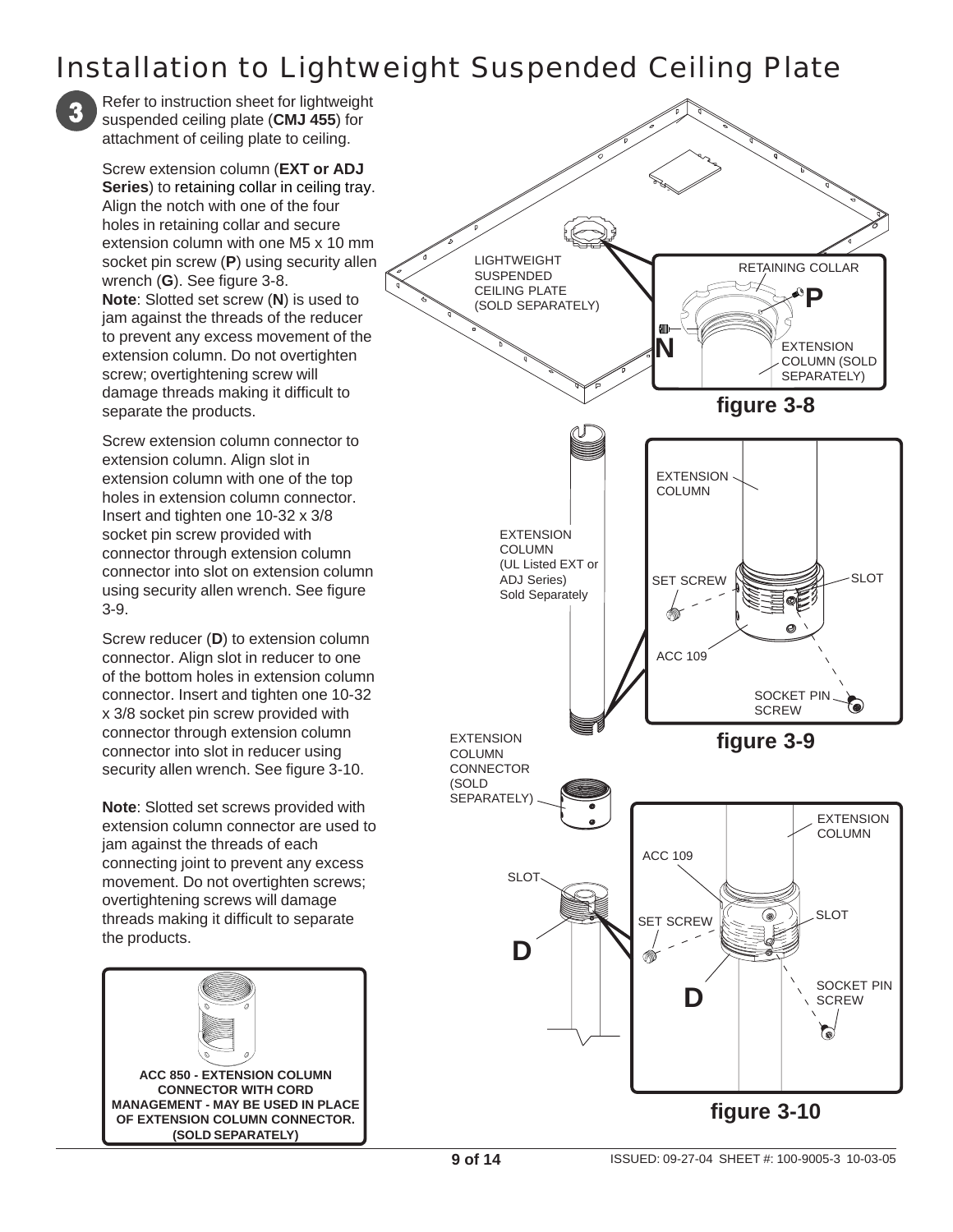#### Installation to Lightweight Suspended Ceiling Plate

Refer to instruction sheet for lightweight suspended ceiling plate (**CMJ 455**) for attachment of ceiling plate to ceiling.

Screw extension column (**EXT or ADJ Series**) to retaining collar in ceiling tray. Align the notch with one of the four holes in retaining collar and secure extension column with one M5 x 10 mm socket pin screw (**P**) using security allen wrench (**G**). See figure 3-8. **Note**: Slotted set screw (**N**) is used to jam against the threads of the reducer to prevent any excess movement of the extension column. Do not overtighten screw; overtightening screw will damage threads making it difficult to separate the products.

Screw extension column connector to extension column. Align slot in extension column with one of the top holes in extension column connector. Insert and tighten one 10-32 x 3/8 socket pin screw provided with connector through extension column connector into slot on extension column using security allen wrench. See figure 3-9.

Screw reducer (**D**) to extension column connector. Align slot in reducer to one of the bottom holes in extension column connector. Insert and tighten one 10-32 x 3/8 socket pin screw provided with connector through extension column connector into slot in reducer using security allen wrench. See figure 3-10.

**Note**: Slotted set screws provided with extension column connector are used to jam against the threads of each connecting joint to prevent any excess movement. Do not overtighten screws; overtightening screws will damage threads making it difficult to separate the products.



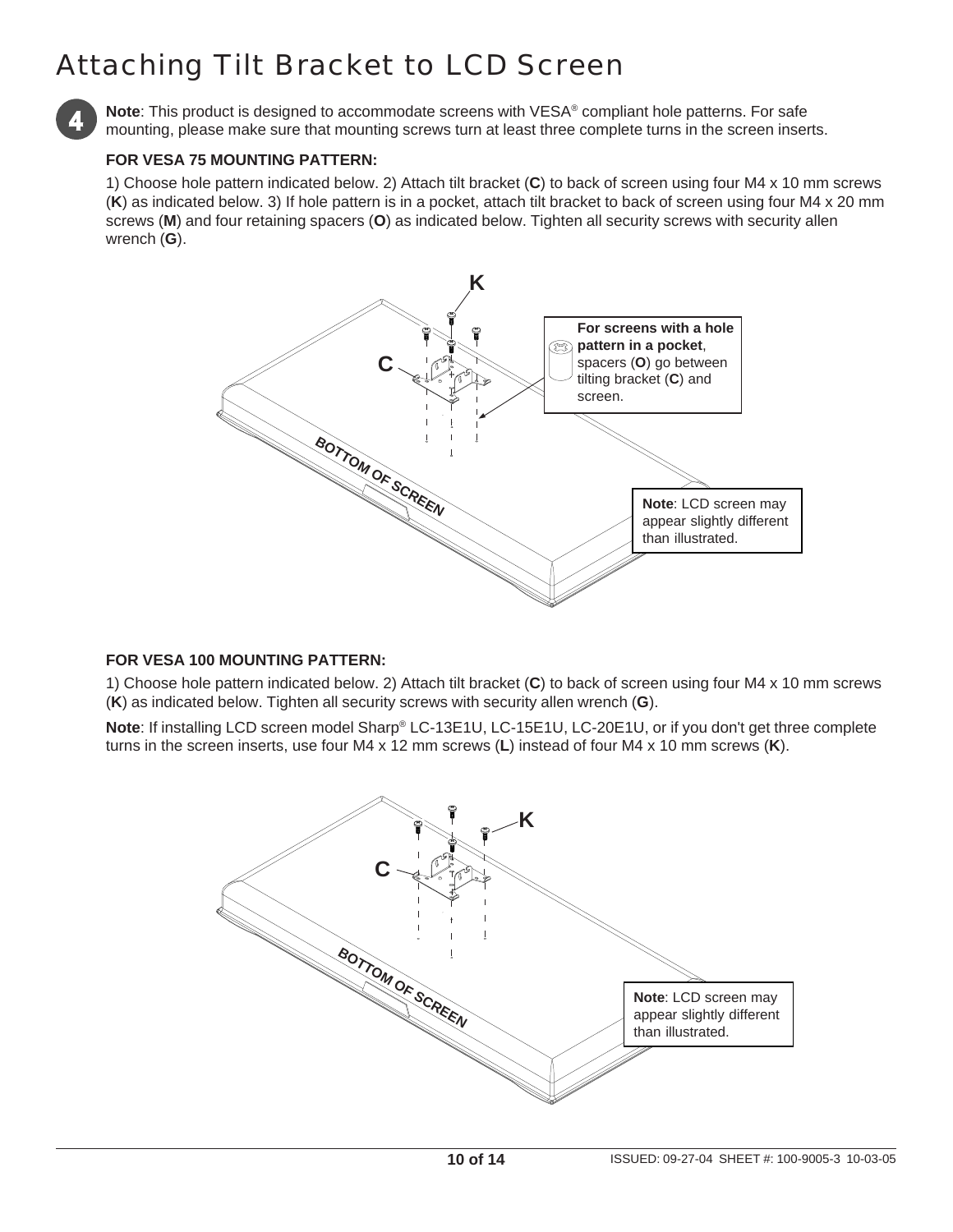# Attaching Tilt Bracket to LCD Screen



**Note**: This product is designed to accommodate screens with VESA® compliant hole patterns. For safe mounting, please make sure that mounting screws turn at least three complete turns in the screen inserts.

#### **FOR VESA 75 MOUNTING PATTERN:**

1) Choose hole pattern indicated below. 2) Attach tilt bracket (**C**) to back of screen using four M4 x 10 mm screws (**K**) as indicated below. 3) If hole pattern is in a pocket, attach tilt bracket to back of screen using four M4 x 20 mm screws (**M**) and four retaining spacers (**O**) as indicated below. Tighten all security screws with security allen wrench (**G**).



#### **FOR VESA 100 MOUNTING PATTERN:**

1) Choose hole pattern indicated below. 2) Attach tilt bracket (**C**) to back of screen using four M4 x 10 mm screws (**K**) as indicated below. Tighten all security screws with security allen wrench (**G**).

**Note**: If installing LCD screen model Sharp® LC-13E1U, LC-15E1U, LC-20E1U, or if you don't get three complete turns in the screen inserts, use four M4 x 12 mm screws (**L**) instead of four M4 x 10 mm screws (**K**).

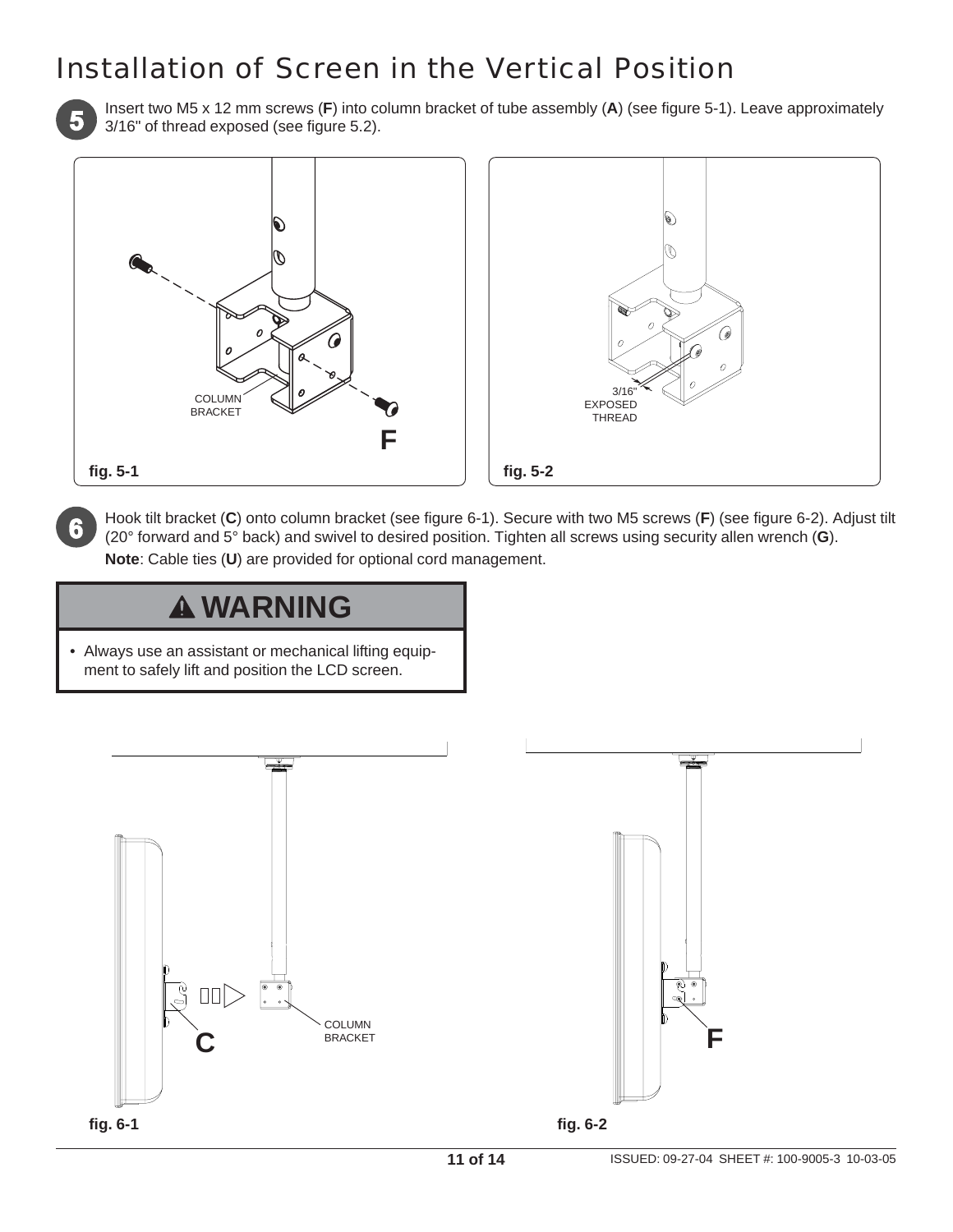#### Installation of Screen in the Vertical Position



Insert two M5 x 12 mm screws (**F**) into column bracket of tube assembly (**A**) (see figure 5-1). Leave approximately 3/16" of thread exposed (see figure 5.2).



Hook tilt bracket (**C**) onto column bracket (see figure 6-1). Secure with two M5 screws (**F**) (see figure 6-2). Adjust tilt (20° forward and 5° back) and swivel to desired position. Tighten all screws using security allen wrench (**G**). **Note**: Cable ties (**U**) are provided for optional cord management.

### **WARNING**

• Always use an assistant or mechanical lifting equipment to safely lift and position the LCD screen.



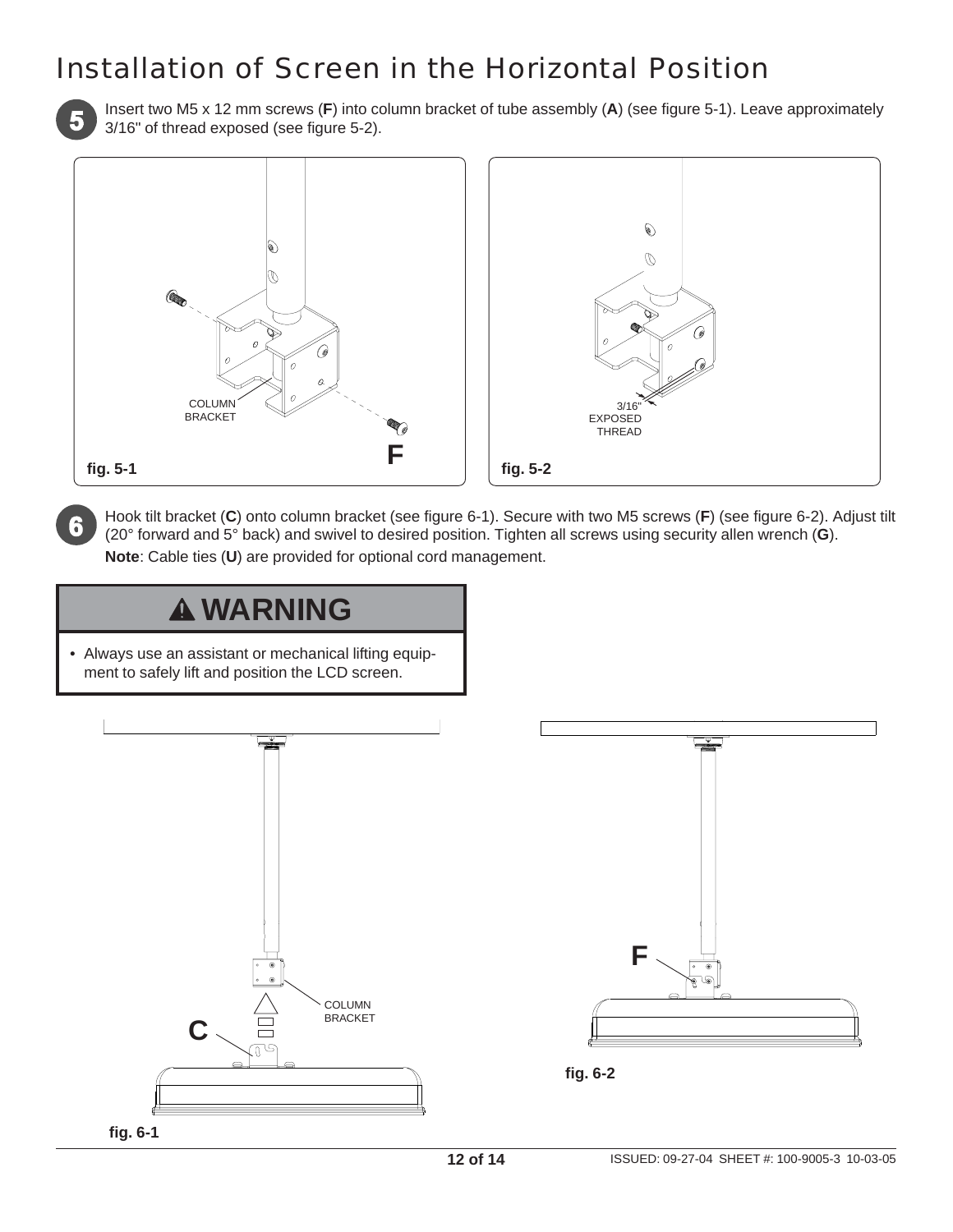#### Installation of Screen in the Horizontal Position



Insert two M5 x 12 mm screws (**F**) into column bracket of tube assembly (**A**) (see figure 5-1). Leave approximately 3/16" of thread exposed (see figure 5-2).



Hook tilt bracket (**C**) onto column bracket (see figure 6-1). Secure with two M5 screws (**F**) (see figure 6-2). Adjust tilt (20° forward and 5° back) and swivel to desired position. Tighten all screws using security allen wrench (**G**). **Note**: Cable ties (**U**) are provided for optional cord management.

#### **WARNING**

• Always use an assistant or mechanical lifting equipment to safely lift and position the LCD screen.





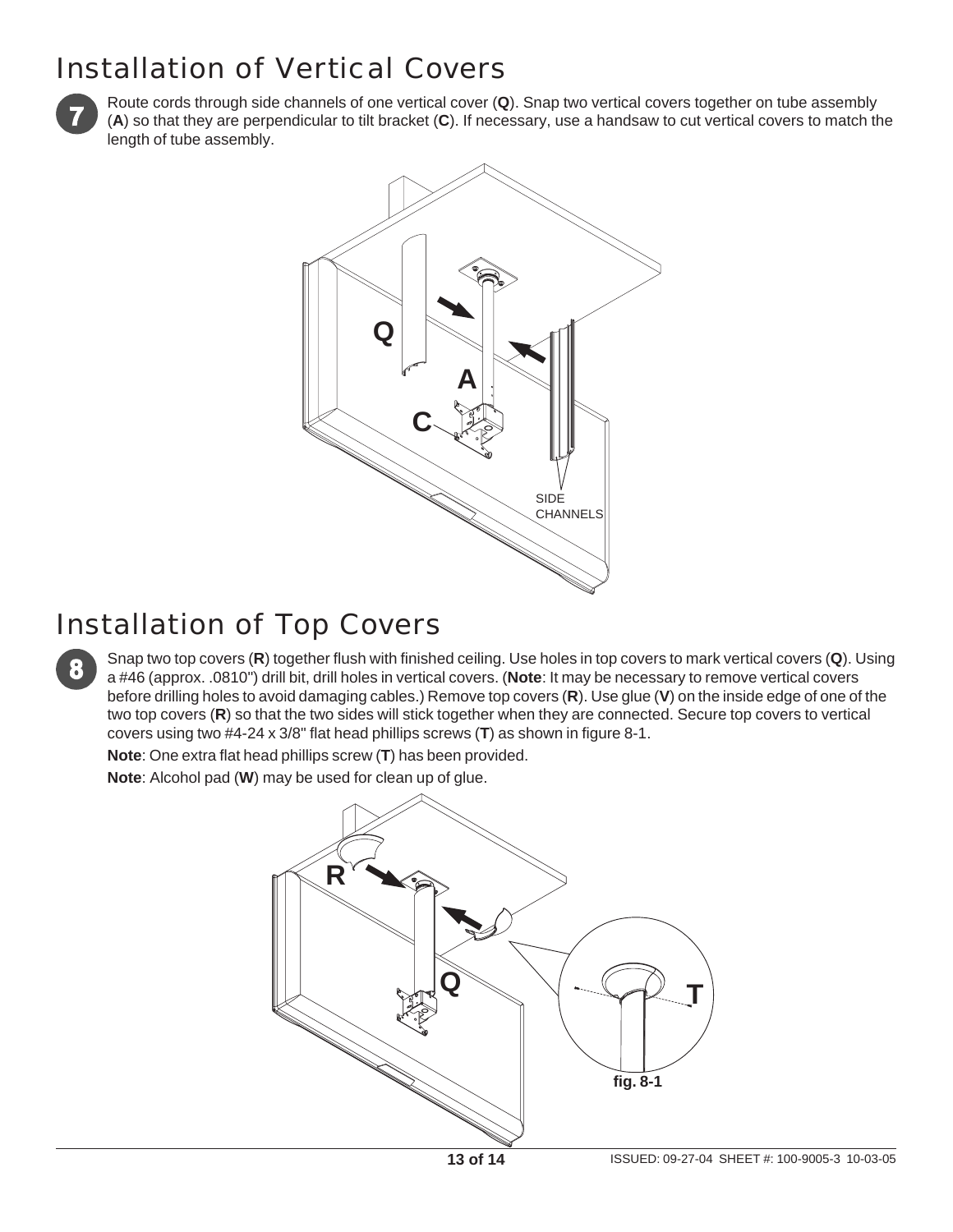#### Installation of Vertical Covers



Route cords through side channels of one vertical cover (**Q**). Snap two vertical covers together on tube assembly (**A**) so that they are perpendicular to tilt bracket (**C**). If necessary, use a handsaw to cut vertical covers to match the length of tube assembly.



#### Installation of Top Covers

Snap two top covers (**R**) together flush with finished ceiling. Use holes in top covers to mark vertical covers (**Q**). Using a #46 (approx. .0810") drill bit, drill holes in vertical covers. (**Note**: It may be necessary to remove vertical covers before drilling holes to avoid damaging cables.) Remove top covers (**R**). Use glue (**V**) on the inside edge of one of the two top covers (**R**) so that the two sides will stick together when they are connected. Secure top covers to vertical covers using two #4-24 x 3/8" flat head phillips screws (**T**) as shown in figure 8-1.

**Note**: One extra flat head phillips screw (**T**) has been provided.

**Note**: Alcohol pad (**W**) may be used for clean up of glue.